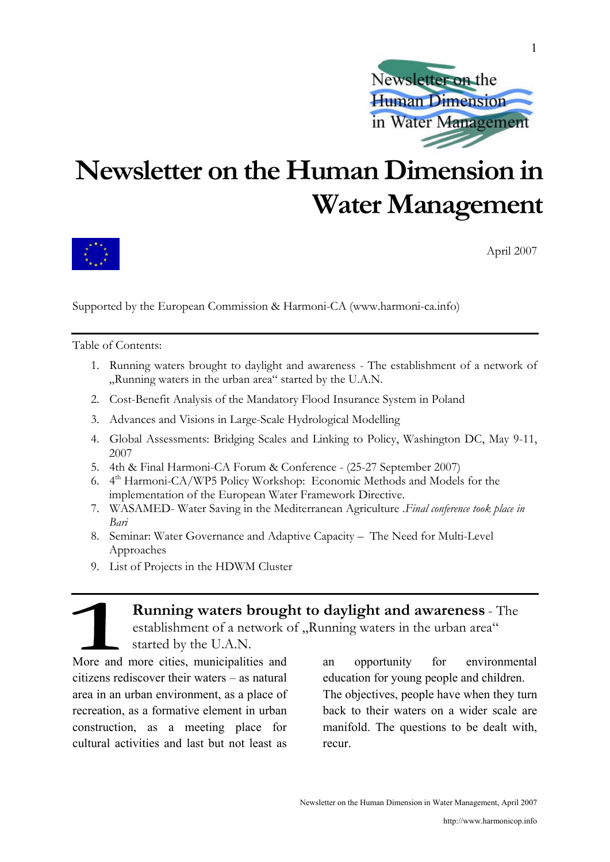

# **Newsletter on the Human Dimension in Water Management**



April 2007

Supported by the European Commission & Harmoni-CA (www.harmoni-ca.info)

Table of Contents:

- 1. Running waters brought to daylight and awareness The establishment of a network of "Running waters in the urban area" started by the U.A.N.
- 2. Cost-Benefit Analysis of the Mandatory Flood Insurance System in Poland
- 3. Advances and Visions in Large-Scale Hydrological Modelling
- 4. Global Assessments: Bridging Scales and Linking to Policy, Washington DC, May 9-11, 2007
- 5. 4th & Final Harmoni-CA Forum & Conference (25-27 September 2007)
- 6. 4th Harmoni-CA/WP5 Policy Workshop: Economic Methods and Models for the implementation of the European Water Framework Directive.
- 7. WASAMED- Water Saving in the Mediterranean Agriculture .*Final conference took place in Bari*
- 8. Seminar: Water Governance and Adaptive Capacity The Need for Multi-Level Approaches
- 9. List of Projects in the HDWM Cluster

**Running waters brought to daylight and awareness** - The establishment of a network of "Running waters in the urban area" started by the U.A.N.

More and more cities, municipalities and citizens rediscover their waters – as natural area in an urban environment, as a place of recreation, as a formative element in urban construction, as a meeting place for cultural activities and last but not least as

an opportunity for environmental education for young people and children. The objectives, people have when they turn back to their waters on a wider scale are manifold. The questions to be dealt with, recur.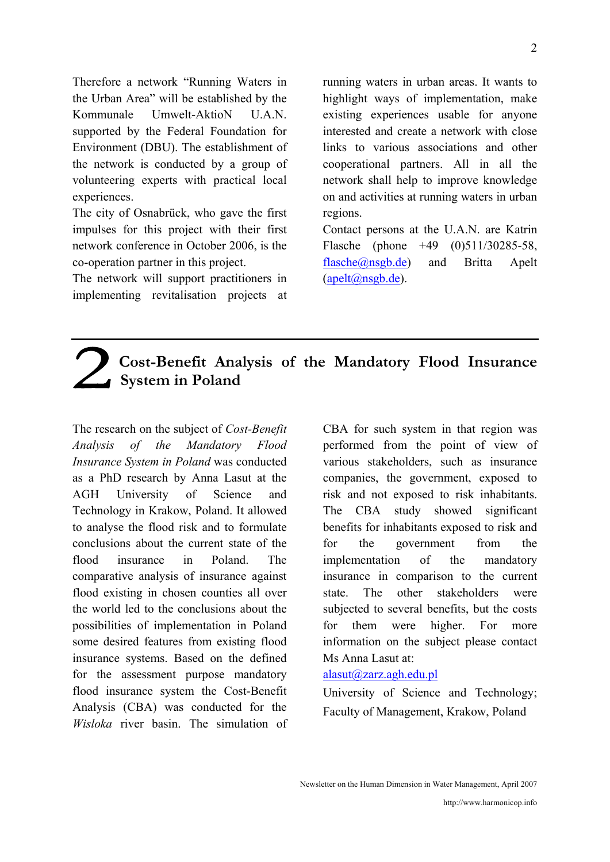Therefore a network "Running Waters in the Urban Area" will be established by the Kommunale Umwelt-AktioN U.A.N. supported by the Federal Foundation for Environment (DBU). The establishment of the network is conducted by a group of volunteering experts with practical local experiences.

The city of Osnabrück, who gave the first impulses for this project with their first network conference in October 2006, is the co-operation partner in this project.

The network will support practitioners in implementing revitalisation projects at

running waters in urban areas. It wants to highlight ways of implementation, make existing experiences usable for anyone interested and create a network with close links to various associations and other cooperational partners. All in all the network shall help to improve knowledge on and activities at running waters in urban regions.

Contact persons at the U.A.N. are Katrin Flasche (phone +49 (0)511/30285-58, flasche@nsgb.de) and Britta Apelt (apelt@nsgb.de).

# **Cost-Benefit Analysis of the Mandatory Flood Insurance System in Poland**

The research on the subject of *Cost-Benefit Analysis of the Mandatory Flood Insurance System in Poland* was conducted as a PhD research by Anna Lasut at the AGH University of Science and Technology in Krakow, Poland. It allowed to analyse the flood risk and to formulate conclusions about the current state of the flood insurance in Poland. The comparative analysis of insurance against flood existing in chosen counties all over the world led to the conclusions about the possibilities of implementation in Poland some desired features from existing flood insurance systems. Based on the defined for the assessment purpose mandatory flood insurance system the Cost-Benefit Analysis (CBA) was conducted for the *Wisloka* river basin. The simulation of

CBA for such system in that region was performed from the point of view of various stakeholders, such as insurance companies, the government, exposed to risk and not exposed to risk inhabitants. The CBA study showed significant benefits for inhabitants exposed to risk and for the government from the implementation of the mandatory insurance in comparison to the current state. The other stakeholders were subjected to several benefits, but the costs for them were higher. For more information on the subject please contact Ms Anna Lasut at:

## alasut@zarz.agh.edu.pl

University of Science and Technology; Faculty of Management, Krakow, Poland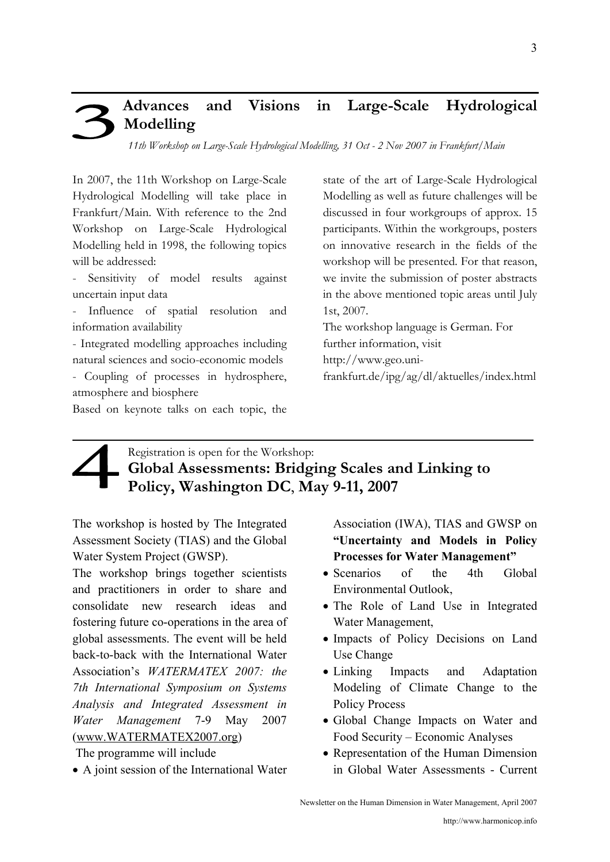# **Advances and Visions in Large-Scale Hydrological Modelling**

*11th Workshop on Large-Scale Hydrological Modelling, 31 Oct - 2 Nov 2007 in Frankfurt/Main*

In 2007, the 11th Workshop on Large-Scale Hydrological Modelling will take place in Frankfurt/Main. With reference to the 2nd Workshop on Large-Scale Hydrological Modelling held in 1998, the following topics will be addressed:

Sensitivity of model results against uncertain input data

Influence of spatial resolution and information availability

- Integrated modelling approaches including natural sciences and socio-economic models

- Coupling of processes in hydrosphere, atmosphere and biosphere

Based on keynote talks on each topic, the

state of the art of Large-Scale Hydrological Modelling as well as future challenges will be discussed in four workgroups of approx. 15 participants. Within the workgroups, posters on innovative research in the fields of the workshop will be presented. For that reason, we invite the submission of poster abstracts in the above mentioned topic areas until July 1st, 2007.

The workshop language is German. For further information, visit

http://www.geo.uni-

frankfurt.de/ipg/ag/dl/aktuelles/index.html

# Registration is open for the Workshop: **Global Assessments: Bridging Scales and Linking to Policy, Washington DC**, **May 9-11, 2007**

The workshop is hosted by The Integrated Assessment Society (TIAS) and the Global Water System Project (GWSP).

The workshop brings together scientists and practitioners in order to share and consolidate new research ideas and fostering future co-operations in the area of global assessments. The event will be held back-to-back with the International Water Association's *WATERMATEX 2007: the 7th International Symposium on Systems Analysis and Integrated Assessment in Water Management* 7-9 May 2007 (www.WATERMATEX2007.org)

The programme will include

• A joint session of the International Water

Association (IWA), TIAS and GWSP on **"Uncertainty and Models in Policy Processes for Water Management"** 

- Scenarios of the 4th Global Environmental Outlook,
- The Role of Land Use in Integrated Water Management,
- Impacts of Policy Decisions on Land Use Change
- Linking Impacts and Adaptation Modeling of Climate Change to the Policy Process
- Global Change Impacts on Water and Food Security – Economic Analyses
- Representation of the Human Dimension in Global Water Assessments - Current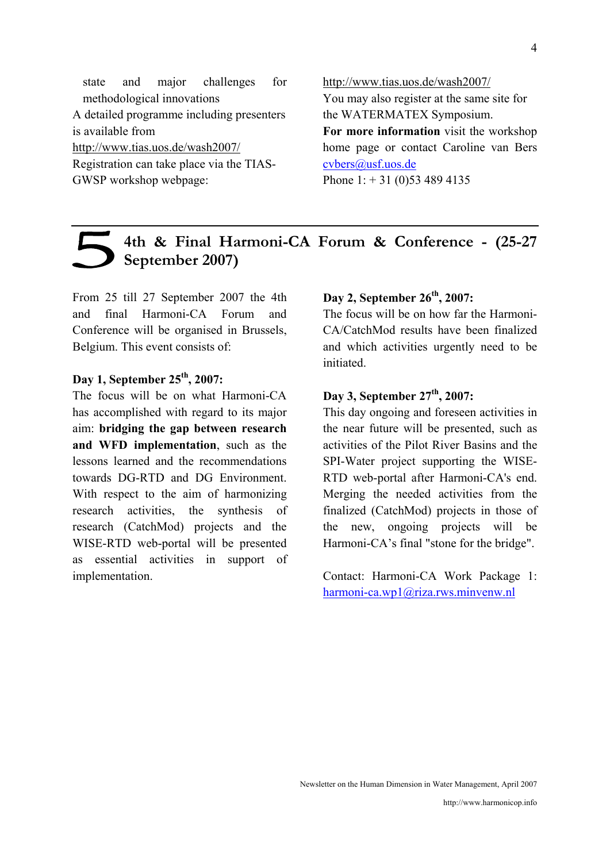state and major challenges for methodological innovations A detailed programme including presenters is available from http://www.tias.uos.de/wash2007/ Registration can take place via the TIAS-GWSP workshop webpage:

http://www.tias.uos.de/wash2007/ You may also register at the same site for the WATERMATEX Symposium. **For more information** visit the workshop home page or contact Caroline van Bers cvbers@usf.uos.de Phone  $1: +31$  (0)53 489 4135

# **4th & Final Harmoni-CA Forum & Conference - (25-27 September 2007)**

From 25 till 27 September 2007 the 4th and final Harmoni-CA Forum and Conference will be organised in Brussels, Belgium. This event consists of:

# **Day 1, September 25th, 2007:**

The focus will be on what Harmoni-CA has accomplished with regard to its major aim: **bridging the gap between research and WFD implementation**, such as the lessons learned and the recommendations towards DG-RTD and DG Environment. With respect to the aim of harmonizing research activities, the synthesis of research (CatchMod) projects and the WISE-RTD web-portal will be presented as essential activities in support of implementation.

# Day 2, September 26<sup>th</sup>, 2007:

The focus will be on how far the Harmoni-CA/CatchMod results have been finalized and which activities urgently need to be initiated.

## Day 3, September 27<sup>th</sup>, 2007:

This day ongoing and foreseen activities in the near future will be presented, such as activities of the Pilot River Basins and the SPI-Water project supporting the WISE-RTD web-portal after Harmoni-CA's end. Merging the needed activities from the finalized (CatchMod) projects in those of the new, ongoing projects will be Harmoni-CA's final "stone for the bridge".

Contact: Harmoni-CA Work Package 1: harmoni-ca.wp1@riza.rws.minvenw.nl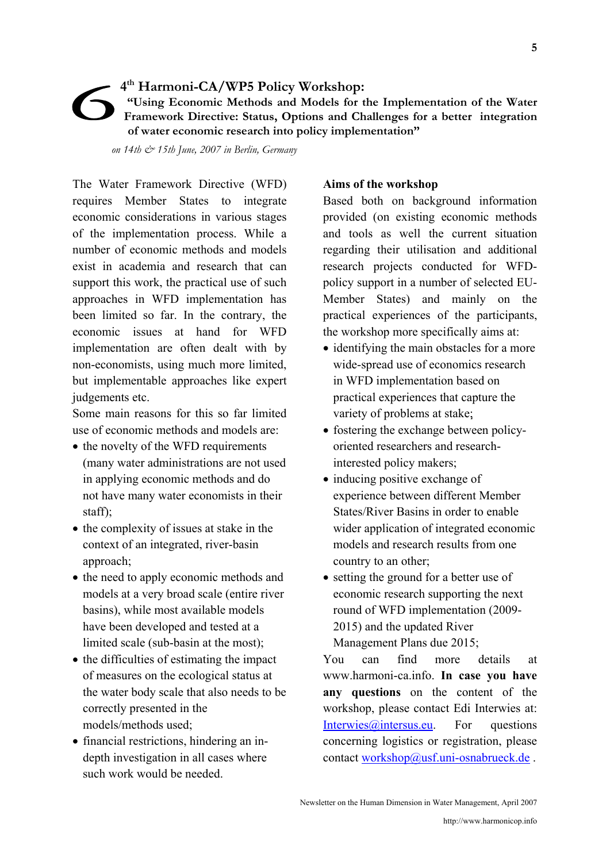# **4th Harmoni-CA/WP5 Policy Workshop: "Using Economic Methods and Models for the Implementation of the Water Framework Directive: Status, Options and Challenges for a better integration of water economic research into policy implementation"**

 *on 14th & 15th June, 2007 in Berlin, Germany* 

The Water Framework Directive (WFD) requires Member States to integrate economic considerations in various stages of the implementation process. While a number of economic methods and models exist in academia and research that can support this work, the practical use of such approaches in WFD implementation has been limited so far. In the contrary, the economic issues at hand for WFD implementation are often dealt with by non-economists, using much more limited, but implementable approaches like expert judgements etc.

Some main reasons for this so far limited use of economic methods and models are:

- the novelty of the WFD requirements (many water administrations are not used in applying economic methods and do not have many water economists in their staff);
- the complexity of issues at stake in the context of an integrated, river-basin approach;
- the need to apply economic methods and models at a very broad scale (entire river basins), while most available models have been developed and tested at a limited scale (sub-basin at the most);
- the difficulties of estimating the impact of measures on the ecological status at the water body scale that also needs to be correctly presented in the models/methods used;
- financial restrictions, hindering an indepth investigation in all cases where such work would be needed.

# **Aims of the workshop**

Based both on background information provided (on existing economic methods and tools as well the current situation regarding their utilisation and additional research projects conducted for WFDpolicy support in a number of selected EU-Member States) and mainly on the practical experiences of the participants, the workshop more specifically aims at:

- identifying the main obstacles for a more wide-spread use of economics research in WFD implementation based on practical experiences that capture the variety of problems at stake;
- fostering the exchange between policyoriented researchers and researchinterested policy makers;
- inducing positive exchange of experience between different Member States/River Basins in order to enable wider application of integrated economic models and research results from one country to an other;
- setting the ground for a better use of economic research supporting the next round of WFD implementation (2009- 2015) and the updated River Management Plans due 2015;

You can find more details at www.harmoni-ca.info. **In case you have any questions** on the content of the workshop, please contact Edi Interwies at: Interwies@intersus.eu. For questions concerning logistics or registration, please contact workshop@usf.uni-osnabrueck.de.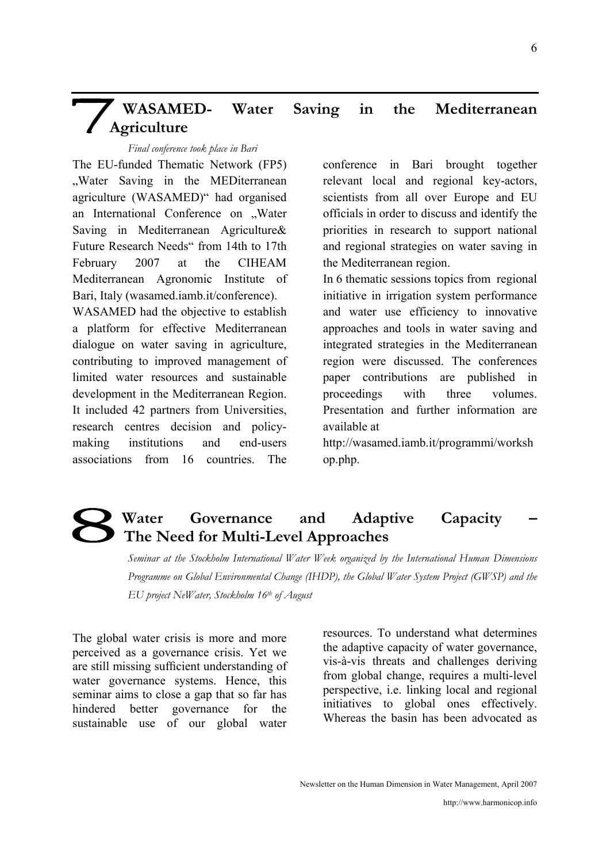# **WASAMED- Water Saving in the Mediterranean Agriculture**

#### *Final conference took place in Bari*

The EU-funded Thematic Network (FP5) "Water Saving in the MEDiterranean agriculture (WASAMED)" had organised an International Conference on "Water Saving in Mediterranean Agriculture& Future Research Needs" from 14th to 17th February 2007 at the CIHEAM Mediterranean Agronomic Institute of Bari, Italy (wasamed.iamb.it/conference).

WASAMED had the objective to establish a platform for effective Mediterranean dialogue on water saving in agriculture, contributing to improved management of limited water resources and sustainable development in the Mediterranean Region. It included 42 partners from Universities, research centres decision and policymaking institutions and end-users associations from 16 countries. The conference in Bari brought together relevant local and regional key-actors, scientists from all over Europe and EU officials in order to discuss and identify the priorities in research to support national and regional strategies on water saving in the Mediterranean region.

In 6 thematic sessions topics from regional initiative in irrigation system performance and water use efficiency to innovative approaches and tools in water saving and integrated strategies in the Mediterranean region were discussed. The conferences paper contributions are published in proceedings with three volumes. Presentation and further information are available at

http://wasamed.iamb.it/programmi/worksh op.php.

# Water Governance and Adaptive Capacity **The Need for Multi-Level Approaches**

*Seminar at the Stockholm International Water Week organized by the International Human Dimensions Programme on Global Environmental Change (IHDP), the Global Water System Project (GWSP) and the EU project NeWater, Stockholm 16th of August* 

The global water crisis is more and more perceived as a governance crisis. Yet we are still missing sufficient understanding of water governance systems. Hence, this seminar aims to close a gap that so far has hindered better governance for the sustainable use of our global water

resources. To understand what determines the adaptive capacity of water governance, vis-à-vis threats and challenges deriving from global change, requires a multi-level perspective, i.e. linking local and regional initiatives to global ones effectively. Whereas the basin has been advocated as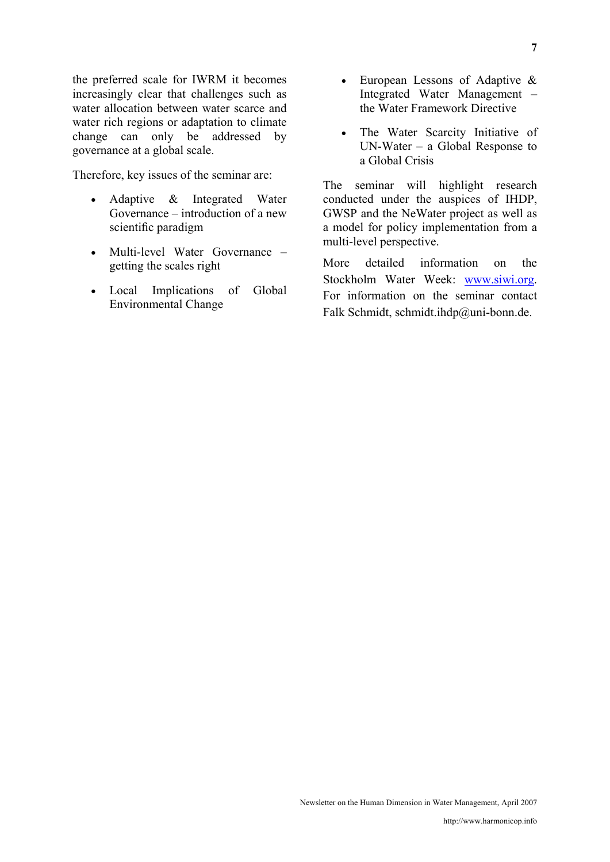the preferred scale for IWRM it becomes increasingly clear that challenges such as water allocation between water scarce and water rich regions or adaptation to climate change can only be addressed by governance at a global scale.

Therefore, key issues of the seminar are:

- Adaptive & Integrated Water Governance – introduction of a new scientific paradigm
- Multi-level Water Governance getting the scales right
- Local Implications of Global Environmental Change
- European Lessons of Adaptive & Integrated Water Management – the Water Framework Directive
- The Water Scarcity Initiative of UN-Water – a Global Response to a Global Crisis

The seminar will highlight research conducted under the auspices of IHDP, GWSP and the NeWater project as well as a model for policy implementation from a multi-level perspective.

More detailed information on the Stockholm Water Week: www.siwi.org. For information on the seminar contact Falk Schmidt, schmidt.ihdp@uni-bonn.de.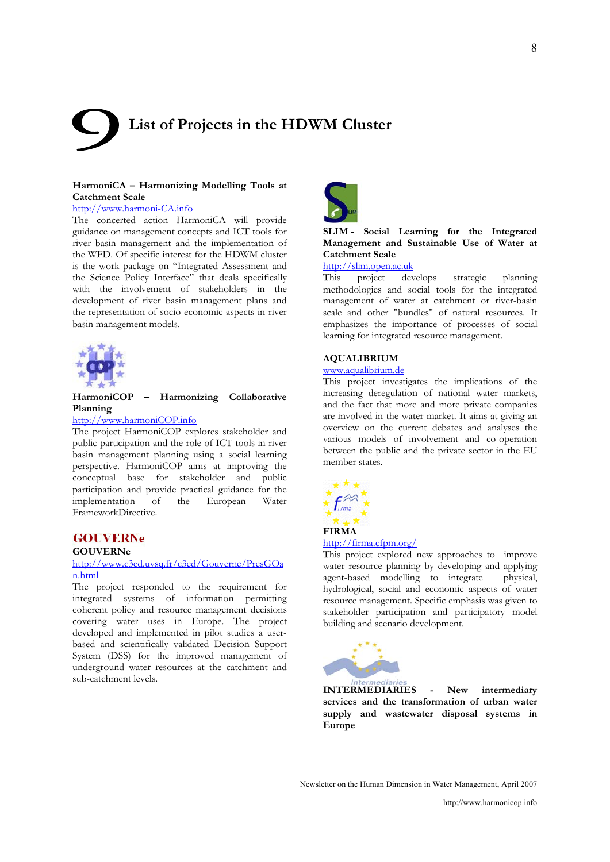# **List of Projects in the HDWM Cluster**

#### **HarmoniCA – Harmonizing Modelling Tools at Catchment Scale**

#### http://www.harmoni-CA.info

The concerted action HarmoniCA will provide guidance on management concepts and ICT tools for river basin management and the implementation of the WFD. Of specific interest for the HDWM cluster is the work package on "Integrated Assessment and the Science Policy Interface" that deals specifically with the involvement of stakeholders in the development of river basin management plans and the representation of socio-economic aspects in river basin management models.



#### **HarmoniCOP – Harmonizing Collaborative Planning**

#### http://www.harmoniCOP.info

The project HarmoniCOP explores stakeholder and public participation and the role of ICT tools in river basin management planning using a social learning perspective. HarmoniCOP aims at improving the conceptual base for stakeholder and public participation and provide practical guidance for the implementation of the European Water FrameworkDirective.

## **GOUVERNe**

#### **GOUVERNe**

#### http://www.c3ed.uvsq.fr/c3ed/Gouverne/PresGOa n.html

The project responded to the requirement for integrated systems of information permitting coherent policy and resource management decisions covering water uses in Europe. The project developed and implemented in pilot studies a userbased and scientifically validated Decision Support System (DSS) for the improved management of underground water resources at the catchment and sub-catchment levels.



#### **SLIM - Social Learning for the Integrated Management and Sustainable Use of Water at Catchment Scale**

http://slim.open.ac.uk

This project develops strategic planning methodologies and social tools for the integrated management of water at catchment or river-basin scale and other "bundles" of natural resources. It emphasizes the importance of processes of social learning for integrated resource management.

#### **AQUALIBRIUM**

#### www.aqualibrium.de

This project investigates the implications of the increasing deregulation of national water markets, and the fact that more and more private companies are involved in the water market. It aims at giving an overview on the current debates and analyses the various models of involvement and co-operation between the public and the private sector in the EU member states.



#### http://firma.cfpm.org/

This project explored new approaches to improve water resource planning by developing and applying<br>agent-based modelling to integrate physical. agent-based modelling to integrate hydrological, social and economic aspects of water resource management. Specific emphasis was given to stakeholder participation and participatory model building and scenario development.



**INTERMEDIARIES - New intermediary services and the transformation of urban water supply and wastewater disposal systems in Europe** 

Newsletter on the Human Dimension in Water Management, April 2007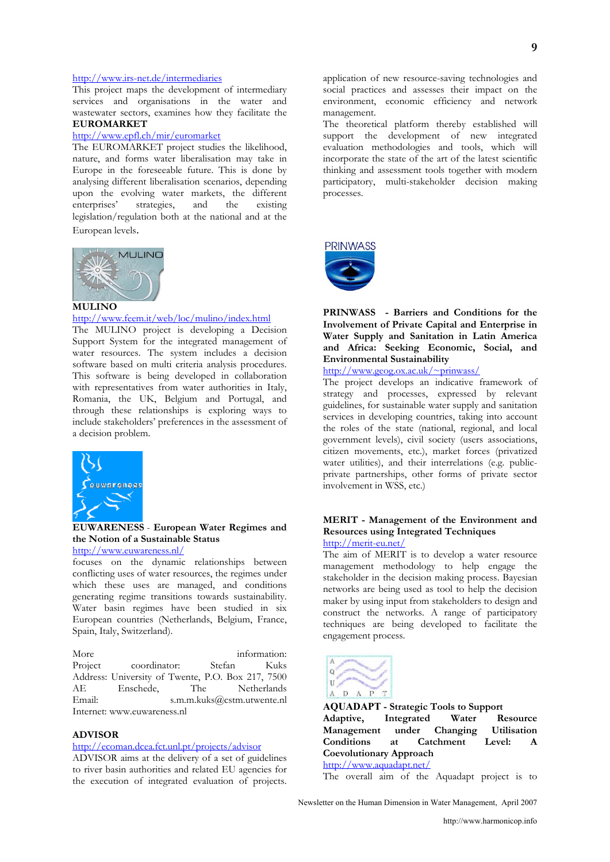#### http://www.irs-net.de/intermediaries

This project maps the development of intermediary services and organisations in the water and wastewater sectors, examines how they facilitate the **EUROMARKET**

#### http://www.epfl.ch/mir/euromarket

The EUROMARKET project studies the likelihood, nature, and forms water liberalisation may take in Europe in the foreseeable future. This is done by analysing different liberalisation scenarios, depending upon the evolving water markets, the different enterprises' strategies, and the existing legislation/regulation both at the national and at the European levels.



#### http://www.feem.it/web/loc/mulino/index.html

The MULINO project is developing a Decision Support System for the integrated management of water resources. The system includes a decision software based on multi criteria analysis procedures. This software is being developed in collaboration with representatives from water authorities in Italy, Romania, the UK, Belgium and Portugal, and through these relationships is exploring ways to include stakeholders' preferences in the assessment of a decision problem.



## **EUWARENESS** - **European Water Regimes and the Notion of a Sustainable Status**

http://www.euwareness.nl/

focuses on the dynamic relationships between conflicting uses of water resources, the regimes under which these uses are managed, and conditions generating regime transitions towards sustainability. Water basin regimes have been studied in six European countries (Netherlands, Belgium, France, Spain, Italy, Switzerland).

More information: Project coordinator: Stefan Kuks Address: University of Twente, P.O. Box 217, 7500 AE Enschede, The Email: s.m.m.kuks@cstm.utwente.nl Internet: www.euwareness.nl

#### **ADVISOR**

#### http://ecoman.dcea.fct.unl.pt/projects/advisor

ADVISOR aims at the delivery of a set of guidelines to river basin authorities and related EU agencies for the execution of integrated evaluation of projects.

application of new resource-saving technologies and social practices and assesses their impact on the environment, economic efficiency and network management.

The theoretical platform thereby established will support the development of new integrated evaluation methodologies and tools, which will incorporate the state of the art of the latest scientific thinking and assessment tools together with modern participatory, multi-stakeholder decision making processes.





**PRINWASS - Barriers and Conditions for the Involvement of Private Capital and Enterprise in Water Supply and Sanitation in Latin America and Africa: Seeking Economic, Social, and Environmental Sustainability** 

http://www.geog.ox.ac.uk/~prinwass/

The project develops an indicative framework of strategy and processes, expressed by relevant guidelines, for sustainable water supply and sanitation services in developing countries, taking into account the roles of the state (national, regional, and local government levels), civil society (users associations, citizen movements, etc.), market forces (privatized water utilities), and their interrelations (e.g. publicprivate partnerships, other forms of private sector involvement in WSS, etc.)

#### **MERIT - Management of the Environment and Resources using Integrated Techniques**  http://merit-eu.net/

The aim of MERIT is to develop a water resource management methodology to help engage the stakeholder in the decision making process. Bayesian networks are being used as tool to help the decision maker by using input from stakeholders to design and construct the networks. A range of participatory techniques are being developed to facilitate the engagement process.



**AQUADAPT - Strategic Tools to Support Adaptive, Integrated Water Resource Management under Changing Utilisation Conditions at Catchment Level: A Coevolutionary Approach**  http://www.aquadapt.net/

The overall aim of the Aquadapt project is to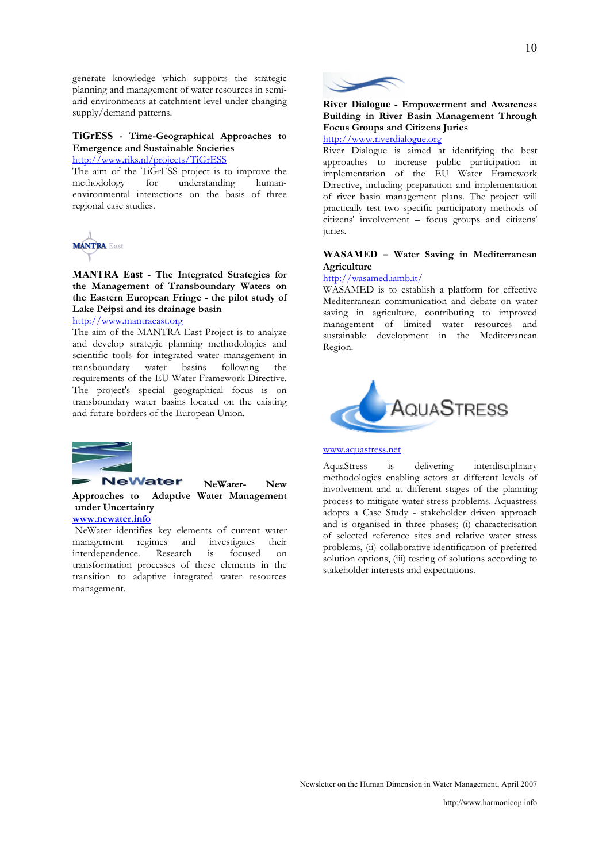generate knowledge which supports the strategic planning and management of water resources in semiarid environments at catchment level under changing supply/demand patterns.

#### **TiGrESS - Time-Geographical Approaches to Emergence and Sustainable Societies**

http://www.riks.nl/projects/TiGrESS

The aim of the TiGrESS project is to improve the methodology for understanding humanenvironmental interactions on the basis of three regional case studies.



**MANTRA East - The Integrated Strategies for the Management of Transboundary Waters on the Eastern European Fringe - the pilot study of Lake Peipsi and its drainage basin** 

http://www.mantraeast.org

The aim of the MANTRA East Project is to analyze and develop strategic planning methodologies and scientific tools for integrated water management in transboundary water basins following the requirements of the EU Water Framework Directive. The project's special geographical focus is on transboundary water basins located on the existing and future borders of the European Union.



#### **NeWater NeWater- New Approaches to Adaptive Water Management under Uncertainty**

**www.newater.info** 

 NeWater identifies key elements of current water management regimes and investigates their interdependence. Research is focused on transformation processes of these elements in the transition to adaptive integrated water resources management.



## **River Dialogue - Empowerment and Awareness Building in River Basin Management Through Focus Groups and Citizens Juries**

http://www.riverdialogue.org

River Dialogue is aimed at identifying the best approaches to increase public participation in implementation of the EU Water Framework Directive, including preparation and implementation of river basin management plans. The project will practically test two specific participatory methods of citizens' involvement – focus groups and citizens' juries.

#### **WASAMED – Water Saving in Mediterranean Agriculture**

#### http://wasamed.iamb.it/

WASAMED is to establish a platform for effective Mediterranean communication and debate on water saving in agriculture, contributing to improved management of limited water resources and sustainable development in the Mediterranean Region.



#### www.aquastress.net

AquaStress is delivering interdisciplinary methodologies enabling actors at different levels of involvement and at different stages of the planning process to mitigate water stress problems. Aquastress adopts a Case Study - stakeholder driven approach and is organised in three phases; (i) characterisation of selected reference sites and relative water stress problems, (ii) collaborative identification of preferred solution options, (iii) testing of solutions according to stakeholder interests and expectations.